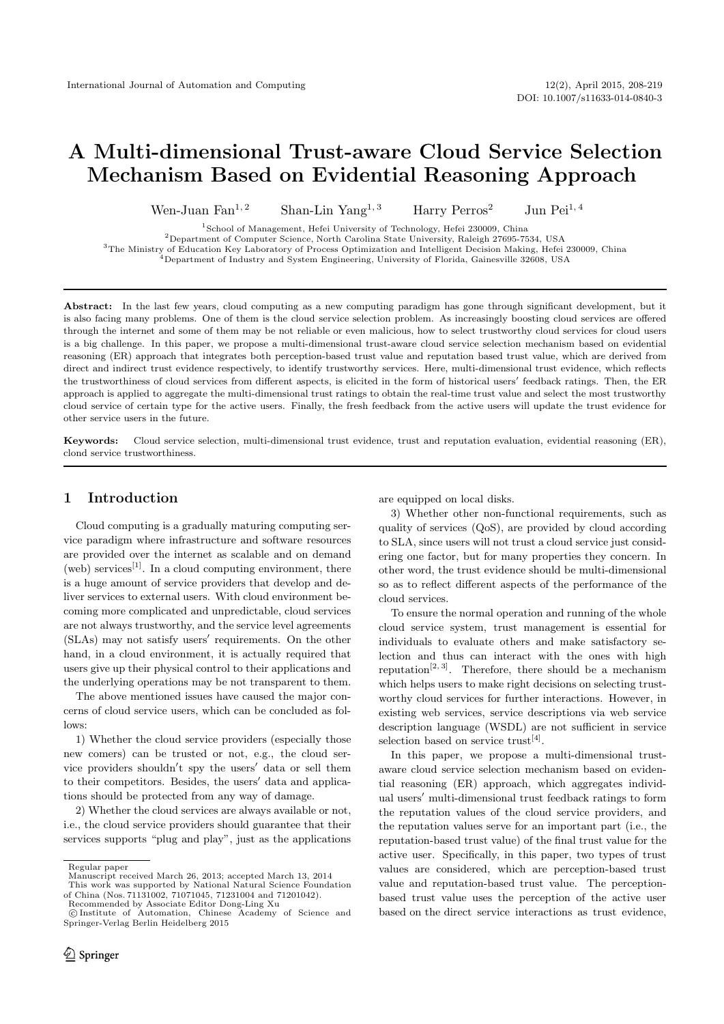# **A Multi-dimensional Trust-aware Cloud Service Selection Mechanism Based on Evidential Reasoning Approach**

Wen-Juan Fan<sup>1, 2</sup> Shan-Lin Yang<sup>1, 3</sup> Harry Perros<sup>2</sup> Jun Pei<sup>1, 4</sup><sup>1</sup>School of Management, Hefei University of Technology, Hefei 230009, China

<sup>2</sup>Department of Computer Science, North Carolina State University, Raleigh 27695-7534, USA<br><sup>3</sup>The Ministry of Education Key Laboratory of Process Optimization and Intelligent Decision Making, Hefei 230009, China

<sup>4</sup>Department of Industry and System Engineering, University of Florida, Gainesville 32608, USA

Abstract: In the last few years, cloud computing as a new computing paradigm has gone through significant development, but it is also facing many problems. One of them is the cloud service selection problem. As increasingly boosting cloud services are offered through the internet and some of them may be not reliable or even malicious, how to select trustworthy cloud services for cloud users is a big challenge. In this paper, we propose a multi-dimensional trust-aware cloud service selection mechanism based on evidential reasoning (ER) approach that integrates both perception-based trust value and reputation based trust value, which are derived from direct and indirect trust evidence respectively, to identify trustworthy services. Here, multi-dimensional trust evidence, which reflects the trustworthiness of cloud services from different aspects, is elicited in the form of historical users' feedback ratings. Then, the ER approach is applied to aggregate the multi-dimensional trust ratings to obtain the real-time trust value and select the most trustworthy cloud service of certain type for the active users. Finally, the fresh feedback from the active users will update the trust evidence for other service users in the future.

**Keywords:** Cloud service selection, multi-dimensional trust evidence, trust and reputation evaluation, evidential reasoning (ER), clond service trustworthiness.

## **1 Introduction**

Cloud computing is a gradually maturing computing service paradigm where infrastructure and software resources are provided over the internet as scalable and on demand (web) services<sup>[1]</sup>. In a cloud computing environment, there is a huge amount of service providers that develop and deliver services to external users. With cloud environment becoming more complicated and unpredictable, cloud services are not always trustworthy, and the service level agreements (SLAs) may not satisfy users' requirements. On the other hand, in a cloud environment, it is actually required that users give up their physical control to their applications and the underlying operations may be not transparent to them.

The above mentioned issues have caused the major concerns of cloud service users, which can be concluded as follows:

1) Whether the cloud service providers (especially those new comers) can be trusted or not, e.g., the cloud service providers shouldn't spy the users' data or sell them to their competitors. Besides, the users' data and applications should be protected from any way of damage.

2) Whether the cloud services are always available or not, i.e., the cloud service providers should guarantee that their services supports "plug and play", just as the applications

of China (Nos. 71131002, 71071045, 71231004 and 71201042).

are equipped on local disks.

3) Whether other non-functional requirements, such as quality of services (QoS), are provided by cloud according to SLA, since users will not trust a cloud service just considering one factor, but for many properties they concern. In other word, the trust evidence should be multi-dimensional so as to reflect different aspects of the performance of the cloud services.

To ensure the normal operation and running of the whole cloud service system, trust management is essential for individuals to evaluate others and make satisfactory selection and thus can interact with the ones with high reputation<sup>[2, 3]</sup>. Therefore, there should be a mechanism which helps users to make right decisions on selecting trustworthy cloud services for further interactions. However, in existing web services, service descriptions via web service description language (WSDL) are not sufficient in service selection based on service trust<sup>[4]</sup>.

In this paper, we propose a multi-dimensional trustaware cloud service selection mechanism based on evidential reasoning (ER) approach, which aggregates individual users' multi-dimensional trust feedback ratings to form the reputation values of the cloud service providers, and the reputation values serve for an important part (i.e., the reputation-based trust value) of the final trust value for the active user. Specifically, in this paper, two types of trust values are considered, which are perception-based trust value and reputation-based trust value. The perceptionbased trust value uses the perception of the active user based on the direct service interactions as trust evidence,

Regular paper Manuscript received March 26, 2013; accepted March 13, 2014 This work was supported by National Natural Science Foundation

Recommended by Associate Editor Dong-Ling Xu -c Institute of Automation, Chinese Academy of Science and Springer-Verlag Berlin Heidelberg 2015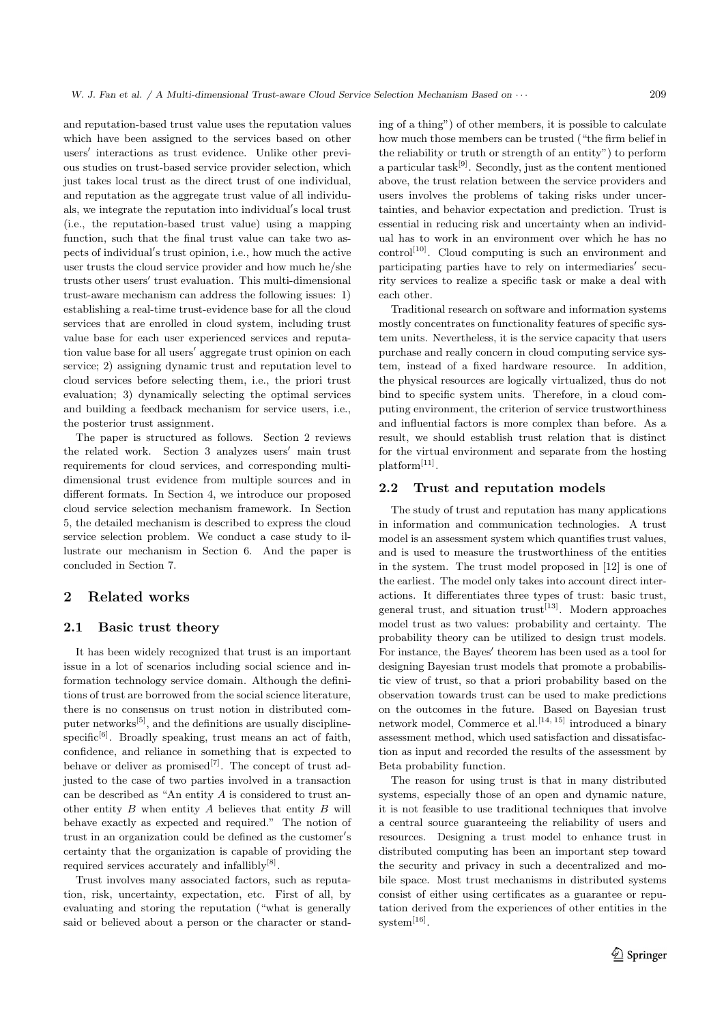and reputation-based trust value uses the reputation values which have been assigned to the services based on other users' interactions as trust evidence. Unlike other previous studies on trust-based service provider selection, which just takes local trust as the direct trust of one individual, and reputation as the aggregate trust value of all individuals, we integrate the reputation into individual's local trust (i.e., the reputation-based trust value) using a mapping function, such that the final trust value can take two aspects of individual's trust opinion, i.e., how much the active user trusts the cloud service provider and how much he/she trusts other users' trust evaluation. This multi-dimensional trust-aware mechanism can address the following issues: 1) establishing a real-time trust-evidence base for all the cloud services that are enrolled in cloud system, including trust value base for each user experienced services and reputation value base for all users' aggregate trust opinion on each service; 2) assigning dynamic trust and reputation level to cloud services before selecting them, i.e., the priori trust evaluation; 3) dynamically selecting the optimal services and building a feedback mechanism for service users, i.e., the posterior trust assignment.

The paper is structured as follows. Section 2 reviews the related work. Section 3 analyzes users' main trust requirements for cloud services, and corresponding multidimensional trust evidence from multiple sources and in different formats. In Section 4, we introduce our proposed cloud service selection mechanism framework. In Section 5, the detailed mechanism is described to express the cloud service selection problem. We conduct a case study to illustrate our mechanism in Section 6. And the paper is concluded in Section 7.

### **2 Related works**

#### **2.1 Basic trust theory**

It has been widely recognized that trust is an important issue in a lot of scenarios including social science and information technology service domain. Although the definitions of trust are borrowed from the social science literature, there is no consensus on trust notion in distributed computer networks $^{[5]}$ , and the definitions are usually disciplinespecific<sup>[6]</sup>. Broadly speaking, trust means an act of faith, confidence, and reliance in something that is expected to behave or deliver as promised<sup>[7]</sup>. The concept of trust adjusted to the case of two parties involved in a transaction can be described as "An entity A is considered to trust another entity  $B$  when entity  $A$  believes that entity  $B$  will behave exactly as expected and required." The notion of trust in an organization could be defined as the customer's certainty that the organization is capable of providing the required services accurately and infallibly  $^{[8]}.$ 

Trust involves many associated factors, such as reputation, risk, uncertainty, expectation, etc. First of all, by evaluating and storing the reputation ("what is generally said or believed about a person or the character or standing of a thing") of other members, it is possible to calculate how much those members can be trusted ("the firm belief in the reliability or truth or strength of an entity") to perform a particular task<sup>[9]</sup>. Secondly, just as the content mentioned above, the trust relation between the service providers and users involves the problems of taking risks under uncertainties, and behavior expectation and prediction. Trust is essential in reducing risk and uncertainty when an individual has to work in an environment over which he has no  $control<sup>[10]</sup>$ . Cloud computing is such an environment and participating parties have to rely on intermediaries' security services to realize a specific task or make a deal with each other.

Traditional research on software and information systems mostly concentrates on functionality features of specific system units. Nevertheless, it is the service capacity that users purchase and really concern in cloud computing service system, instead of a fixed hardware resource. In addition, the physical resources are logically virtualized, thus do not bind to specific system units. Therefore, in a cloud computing environment, the criterion of service trustworthiness and influential factors is more complex than before. As a result, we should establish trust relation that is distinct for the virtual environment and separate from the hosting platform[11].

#### **2.2 Trust and reputation models**

The study of trust and reputation has many applications in information and communication technologies. A trust model is an assessment system which quantifies trust values, and is used to measure the trustworthiness of the entities in the system. The trust model proposed in [12] is one of the earliest. The model only takes into account direct interactions. It differentiates three types of trust: basic trust, general trust, and situation trust<sup>[13]</sup>. Modern approaches model trust as two values: probability and certainty. The probability theory can be utilized to design trust models. For instance, the Bayes' theorem has been used as a tool for designing Bayesian trust models that promote a probabilistic view of trust, so that a priori probability based on the observation towards trust can be used to make predictions on the outcomes in the future. Based on Bayesian trust network model, Commerce et al.<sup>[14, 15]</sup> introduced a binary assessment method, which used satisfaction and dissatisfaction as input and recorded the results of the assessment by Beta probability function.

The reason for using trust is that in many distributed systems, especially those of an open and dynamic nature, it is not feasible to use traditional techniques that involve a central source guaranteeing the reliability of users and resources. Designing a trust model to enhance trust in distributed computing has been an important step toward the security and privacy in such a decentralized and mobile space. Most trust mechanisms in distributed systems consist of either using certificates as a guarantee or reputation derived from the experiences of other entities in the  $s$ ystem<sup>[16]</sup>.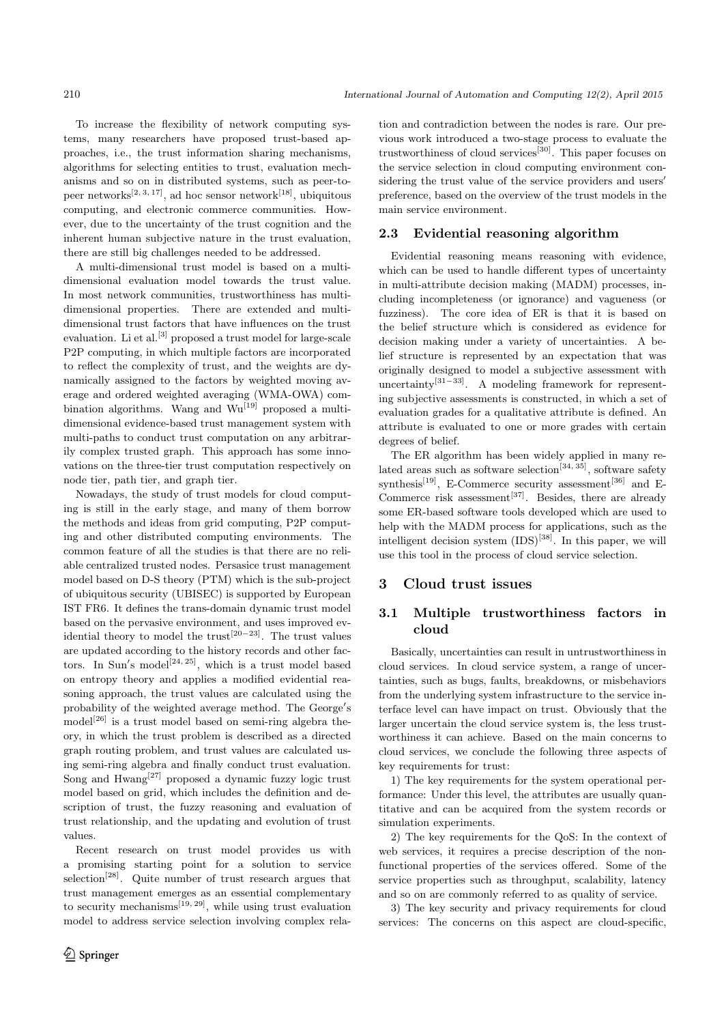To increase the flexibility of network computing systems, many researchers have proposed trust-based approaches, i.e., the trust information sharing mechanisms, algorithms for selecting entities to trust, evaluation mechanisms and so on in distributed systems, such as peer-topeer networks<sup>[2, 3, 17]</sup>, ad hoc sensor network<sup>[18]</sup>, ubiquitous computing, and electronic commerce communities. However, due to the uncertainty of the trust cognition and the inherent human subjective nature in the trust evaluation, there are still big challenges needed to be addressed.

A multi-dimensional trust model is based on a multidimensional evaluation model towards the trust value. In most network communities, trustworthiness has multidimensional properties. There are extended and multidimensional trust factors that have influences on the trust evaluation. Li et al.<sup>[3]</sup> proposed a trust model for large-scale P2P computing, in which multiple factors are incorporated to reflect the complexity of trust, and the weights are dynamically assigned to the factors by weighted moving average and ordered weighted averaging (WMA-OWA) combination algorithms. Wang and Wu<sup>[19]</sup> proposed a multidimensional evidence-based trust management system with multi-paths to conduct trust computation on any arbitrarily complex trusted graph. This approach has some innovations on the three-tier trust computation respectively on node tier, path tier, and graph tier.

Nowadays, the study of trust models for cloud computing is still in the early stage, and many of them borrow the methods and ideas from grid computing, P2P computing and other distributed computing environments. The common feature of all the studies is that there are no reliable centralized trusted nodes. Persasice trust management model based on D-S theory (PTM) which is the sub-project of ubiquitous security (UBISEC) is supported by European IST FR6. It defines the trans-domain dynamic trust model based on the pervasive environment, and uses improved evidential theory to model the trust<sup>[20−23]</sup>. The trust values are updated according to the history records and other factors. In Sun's model<sup>[24, 25]</sup>, which is a trust model based on entropy theory and applies a modified evidential reasoning approach, the trust values are calculated using the probability of the weighted average method. The George's  $model<sup>[26]</sup>$  is a trust model based on semi-ring algebra theory, in which the trust problem is described as a directed graph routing problem, and trust values are calculated using semi-ring algebra and finally conduct trust evaluation. Song and  $Hwang<sup>[27]</sup>$  proposed a dynamic fuzzy logic trust model based on grid, which includes the definition and description of trust, the fuzzy reasoning and evaluation of trust relationship, and the updating and evolution of trust values.

Recent research on trust model provides us with a promising starting point for a solution to service selection<sup>[28]</sup>. Quite number of trust research argues that trust management emerges as an essential complementary to security mechanisms<sup>[19, 29]</sup>, while using trust evaluation model to address service selection involving complex relation and contradiction between the nodes is rare. Our previous work introduced a two-stage process to evaluate the trustworthiness of cloud services[30]. This paper focuses on the service selection in cloud computing environment considering the trust value of the service providers and users' preference, based on the overview of the trust models in the main service environment.

## **2.3 Evidential reasoning algorithm**

Evidential reasoning means reasoning with evidence, which can be used to handle different types of uncertainty in multi-attribute decision making (MADM) processes, including incompleteness (or ignorance) and vagueness (or fuzziness). The core idea of ER is that it is based on the belief structure which is considered as evidence for decision making under a variety of uncertainties. A belief structure is represented by an expectation that was originally designed to model a subjective assessment with uncertainty<sup>[31−33]</sup>. A modeling framework for representing subjective assessments is constructed, in which a set of evaluation grades for a qualitative attribute is defined. An attribute is evaluated to one or more grades with certain degrees of belief.

The ER algorithm has been widely applied in many related areas such as software selection<sup>[34, 35]</sup>, software safety synthesis<sup>[19]</sup>, E-Commerce security assessment<sup>[36]</sup> and E-Commerce risk assessment<sup>[37]</sup>. Besides, there are already some ER-based software tools developed which are used to help with the MADM process for applications, such as the intelligent decision system  $(IDS]^{[38]}$ . In this paper, we will use this tool in the process of cloud service selection.

# **3 Cloud trust issues**

## **3.1 Multiple trustworthiness factors in cloud**

Basically, uncertainties can result in untrustworthiness in cloud services. In cloud service system, a range of uncertainties, such as bugs, faults, breakdowns, or misbehaviors from the underlying system infrastructure to the service interface level can have impact on trust. Obviously that the larger uncertain the cloud service system is, the less trustworthiness it can achieve. Based on the main concerns to cloud services, we conclude the following three aspects of key requirements for trust:

1) The key requirements for the system operational performance: Under this level, the attributes are usually quantitative and can be acquired from the system records or simulation experiments.

2) The key requirements for the QoS: In the context of web services, it requires a precise description of the nonfunctional properties of the services offered. Some of the service properties such as throughput, scalability, latency and so on are commonly referred to as quality of service.

3) The key security and privacy requirements for cloud services: The concerns on this aspect are cloud-specific,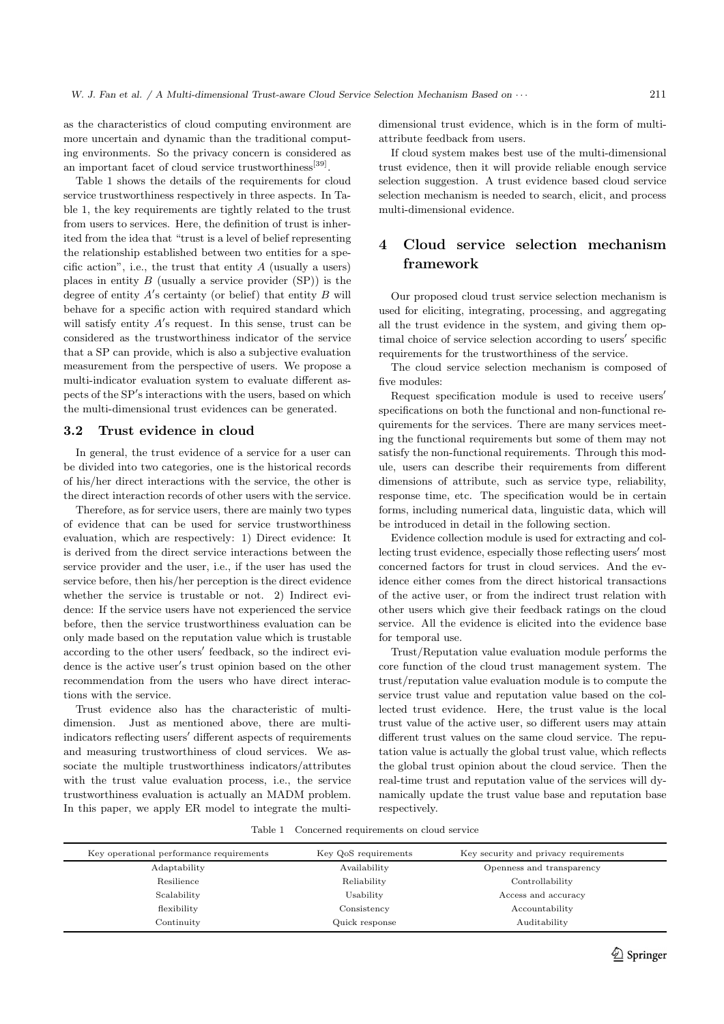as the characteristics of cloud computing environment are more uncertain and dynamic than the traditional computing environments. So the privacy concern is considered as an important facet of cloud service trustworthiness<sup>[39]</sup>.

Table 1 shows the details of the requirements for cloud service trustworthiness respectively in three aspects. In Table 1, the key requirements are tightly related to the trust from users to services. Here, the definition of trust is inherited from the idea that "trust is a level of belief representing the relationship established between two entities for a specific action", i.e., the trust that entity  $A$  (usually a users) places in entity  $B$  (usually a service provider  $(SP)$ ) is the degree of entity  $A$ 's certainty (or belief) that entity  $B$  will behave for a specific action with required standard which will satisfy entity  $A$ 's request. In this sense, trust can be considered as the trustworthiness indicator of the service that a SP can provide, which is also a subjective evaluation measurement from the perspective of users. We propose a multi-indicator evaluation system to evaluate different aspects of the SP's interactions with the users, based on which the multi-dimensional trust evidences can be generated.

## **3.2 Trust evidence in cloud**

In general, the trust evidence of a service for a user can be divided into two categories, one is the historical records of his/her direct interactions with the service, the other is the direct interaction records of other users with the service.

Therefore, as for service users, there are mainly two types of evidence that can be used for service trustworthiness evaluation, which are respectively: 1) Direct evidence: It is derived from the direct service interactions between the service provider and the user, i.e., if the user has used the service before, then his/her perception is the direct evidence whether the service is trustable or not. 2) Indirect evidence: If the service users have not experienced the service before, then the service trustworthiness evaluation can be only made based on the reputation value which is trustable according to the other users' feedback, so the indirect evidence is the active user's trust opinion based on the other recommendation from the users who have direct interactions with the service.

Trust evidence also has the characteristic of multidimension. Just as mentioned above, there are multiindicators reflecting users' different aspects of requirements and measuring trustworthiness of cloud services. We associate the multiple trustworthiness indicators/attributes with the trust value evaluation process, i.e., the service trustworthiness evaluation is actually an MADM problem. In this paper, we apply ER model to integrate the multidimensional trust evidence, which is in the form of multiattribute feedback from users.

If cloud system makes best use of the multi-dimensional trust evidence, then it will provide reliable enough service selection suggestion. A trust evidence based cloud service selection mechanism is needed to search, elicit, and process multi-dimensional evidence.

# **4 Cloud service selection mechanism framework**

Our proposed cloud trust service selection mechanism is used for eliciting, integrating, processing, and aggregating all the trust evidence in the system, and giving them optimal choice of service selection according to users' specific requirements for the trustworthiness of the service.

The cloud service selection mechanism is composed of five modules:

Request specification module is used to receive users' specifications on both the functional and non-functional requirements for the services. There are many services meeting the functional requirements but some of them may not satisfy the non-functional requirements. Through this module, users can describe their requirements from different dimensions of attribute, such as service type, reliability, response time, etc. The specification would be in certain forms, including numerical data, linguistic data, which will be introduced in detail in the following section.

Evidence collection module is used for extracting and collecting trust evidence, especially those reflecting users' most concerned factors for trust in cloud services. And the evidence either comes from the direct historical transactions of the active user, or from the indirect trust relation with other users which give their feedback ratings on the cloud service. All the evidence is elicited into the evidence base for temporal use.

Trust/Reputation value evaluation module performs the core function of the cloud trust management system. The trust/reputation value evaluation module is to compute the service trust value and reputation value based on the collected trust evidence. Here, the trust value is the local trust value of the active user, so different users may attain different trust values on the same cloud service. The reputation value is actually the global trust value, which reflects the global trust opinion about the cloud service. Then the real-time trust and reputation value of the services will dynamically update the trust value base and reputation base respectively.

|  |  | Table 1 Concerned requirements on cloud service |  |  |  |
|--|--|-------------------------------------------------|--|--|--|
|--|--|-------------------------------------------------|--|--|--|

| Key operational performance requirements | Key QoS requirements | Key security and privacy requirements |
|------------------------------------------|----------------------|---------------------------------------|
| Adaptability                             | Availability         | Openness and transparency             |
| Resilience                               | Reliability          | Controllability                       |
| Scalability                              | Usability            | Access and accuracy                   |
| flexibility                              | Consistency          | Accountability                        |
| Continuity                               | Quick response       | Auditability                          |
|                                          |                      |                                       |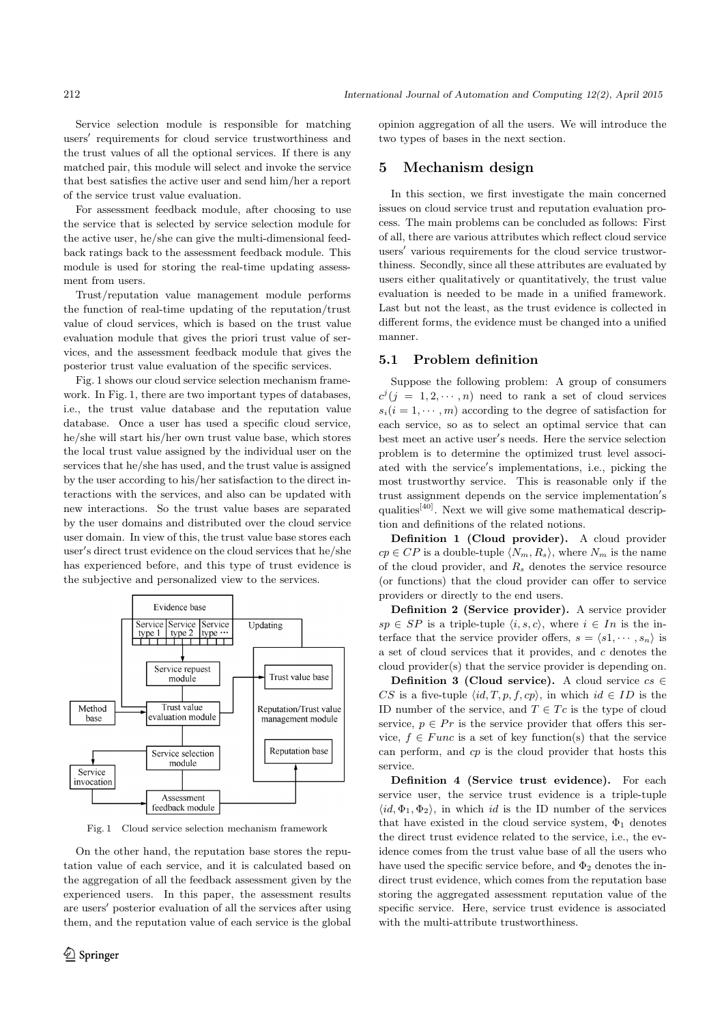Service selection module is responsible for matching users' requirements for cloud service trustworthiness and the trust values of all the optional services. If there is any matched pair, this module will select and invoke the service that best satisfies the active user and send him/her a report of the service trust value evaluation.

For assessment feedback module, after choosing to use the service that is selected by service selection module for the active user, he/she can give the multi-dimensional feedback ratings back to the assessment feedback module. This module is used for storing the real-time updating assessment from users.

Trust/reputation value management module performs the function of real-time updating of the reputation/trust value of cloud services, which is based on the trust value evaluation module that gives the priori trust value of services, and the assessment feedback module that gives the posterior trust value evaluation of the specific services.

Fig. 1 shows our cloud service selection mechanism framework. In Fig. 1, there are two important types of databases, i.e., the trust value database and the reputation value database. Once a user has used a specific cloud service, he/she will start his/her own trust value base, which stores the local trust value assigned by the individual user on the services that he/she has used, and the trust value is assigned by the user according to his/her satisfaction to the direct interactions with the services, and also can be updated with new interactions. So the trust value bases are separated by the user domains and distributed over the cloud service user domain. In view of this, the trust value base stores each user's direct trust evidence on the cloud services that he/she has experienced before, and this type of trust evidence is the subjective and personalized view to the services.



Fig. 1 Cloud service selection mechanism framework

On the other hand, the reputation base stores the reputation value of each service, and it is calculated based on the aggregation of all the feedback assessment given by the experienced users. In this paper, the assessment results are users' posterior evaluation of all the services after using them, and the reputation value of each service is the global opinion aggregation of all the users. We will introduce the two types of bases in the next section.

#### **5 Mechanism design**

In this section, we first investigate the main concerned issues on cloud service trust and reputation evaluation process. The main problems can be concluded as follows: First of all, there are various attributes which reflect cloud service users' various requirements for the cloud service trustworthiness. Secondly, since all these attributes are evaluated by users either qualitatively or quantitatively, the trust value evaluation is needed to be made in a unified framework. Last but not the least, as the trust evidence is collected in different forms, the evidence must be changed into a unified manner.

#### **5.1 Problem definition**

Suppose the following problem: A group of consumers  $c^{j}(i = 1, 2, \dots, n)$  need to rank a set of cloud services  $s_i(i = 1, \dots, m)$  according to the degree of satisfaction for each service, so as to select an optimal service that can best meet an active user's needs. Here the service selection problem is to determine the optimized trust level associated with the service's implementations, i.e., picking the most trustworthy service. This is reasonable only if the trust assignment depends on the service implementation's qualities<sup>[40]</sup>. Next we will give some mathematical description and definitions of the related notions.

**Definition 1 (Cloud provider).** A cloud provider  $c p \in CP$  is a double-tuple  $\langle N_m, R_s \rangle$ , where  $N_m$  is the name of the cloud provider, and  $R_s$  denotes the service resource (or functions) that the cloud provider can offer to service providers or directly to the end users.

**Definition 2 (Service provider).** A service provider  $sp \in SP$  is a triple-tuple  $\langle i, s, c \rangle$ , where  $i \in In$  is the interface that the service provider offers,  $s = \langle s_1, \dots, s_n \rangle$  is a set of cloud services that it provides, and c denotes the cloud provider(s) that the service provider is depending on.

**Definition 3 (Cloud service).** A cloud service  $cs \in$ CS is a five-tuple  $\langle id, T, p, f, cp \rangle$ , in which  $id \in ID$  is the ID number of the service, and  $T \in T_c$  is the type of cloud service,  $p \in Pr$  is the service provider that offers this service,  $f \in Func$  is a set of key function(s) that the service can perform, and cp is the cloud provider that hosts this service.

**Definition 4 (Service trust evidence).** For each service user, the service trust evidence is a triple-tuple  $\langle id, \Phi_1, \Phi_2 \rangle$ , in which id is the ID number of the services that have existed in the cloud service system,  $\Phi_1$  denotes the direct trust evidence related to the service, i.e., the evidence comes from the trust value base of all the users who have used the specific service before, and  $\Phi_2$  denotes the indirect trust evidence, which comes from the reputation base storing the aggregated assessment reputation value of the specific service. Here, service trust evidence is associated with the multi-attribute trustworthiness.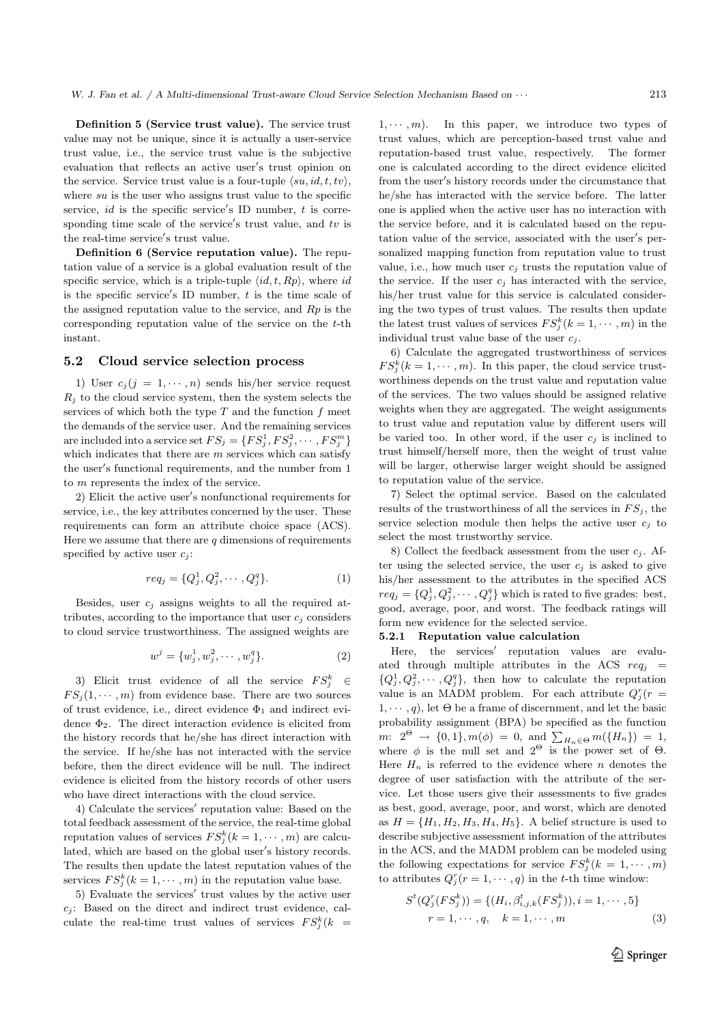**Definition 5 (Service trust value).** The service trust value may not be unique, since it is actually a user-service trust value, i.e., the service trust value is the subjective evaluation that reflects an active user's trust opinion on the service. Service trust value is a four-tuple  $\langle su, id, t, tv \rangle$ , where su is the user who assigns trust value to the specific service, *id* is the specific service's ID number,  $t$  is corresponding time scale of the service's trust value, and  $tv$  is the real-time service's trust value.

**Definition 6 (Service reputation value).** The reputation value of a service is a global evaluation result of the specific service, which is a triple-tuple  $\langle id, t, Rp \rangle$ , where id is the specific service's ID number,  $t$  is the time scale of the assigned reputation value to the service, and Rp is the corresponding reputation value of the service on the  $t$ -th instant.

#### **5.2 Cloud service selection process**

1) User  $c_j$  ( $j = 1, \dots, n$ ) sends his/her service request  $R_j$  to the cloud service system, then the system selects the services of which both the type  $T$  and the function  $f$  meet the demands of the service user. And the remaining services are included into a service set  $FS_j = \{FS_j^1, FS_j^2, \cdots, FS_j^m\}$ which indicates that there are  $m$  services which can satisfy the user's functional requirements, and the number from 1 to m represents the index of the service.

2) Elicit the active user's nonfunctional requirements for service, i.e., the key attributes concerned by the user. These requirements can form an attribute choice space (ACS). Here we assume that there are  $q$  dimensions of requirements specified by active user  $c_i$ :

$$
req_j = \{Q_j^1, Q_j^2, \cdots, Q_j^q\}.
$$
 (1)

Besides, user  $c_j$  assigns weights to all the required attributes, according to the importance that user  $c_i$  considers to cloud service trustworthiness. The assigned weights are

$$
w^{j} = \{w_{j}^{1}, w_{j}^{2}, \cdots, w_{j}^{q}\}.
$$
 (2)

3) Elicit trust evidence of all the service  $FS_j^k \in \mathbb{R}$  (1  $FS_j(1, \dots, m)$  from evidence base. There are two sources of trust evidence, i.e., direct evidence  $\Phi_1$  and indirect evidence  $\Phi_2$ . The direct interaction evidence is elicited from the history records that he/she has direct interaction with the service. If he/she has not interacted with the service before, then the direct evidence will be null. The indirect evidence is elicited from the history records of other users who have direct interactions with the cloud service.

4) Calculate the services' reputation value: Based on the total feedback assessment of the service, the real-time global reputation values of services  $FS_j^k(k = 1, \dots, m)$  are calculated, which are based on the global user's history records. The results then update the latest reputation values of the services  $FS_j^k(k = 1, \dots, m)$  in the reputation value base.

5) Evaluate the services' trust values by the active user  $c_j$ : Based on the direct and indirect trust evidence, calculate the real-time trust values of services  $FS_j^k(k)$   $1, \dots, m$ ). In this paper, we introduce two types of trust values, which are perception-based trust value and reputation-based trust value, respectively. The former one is calculated according to the direct evidence elicited from the user's history records under the circumstance that he/she has interacted with the service before. The latter one is applied when the active user has no interaction with the service before, and it is calculated based on the reputation value of the service, associated with the user's personalized mapping function from reputation value to trust value, i.e., how much user  $c_i$  trusts the reputation value of the service. If the user  $c_j$  has interacted with the service, his/her trust value for this service is calculated considering the two types of trust values. The results then update the latest trust values of services  $FS_j^k (k = 1, \dots, m)$  in the individual trust value base of the user  $c_i$ .

6) Calculate the aggregated trustworthiness of services  $FS_j^k(k = 1, \dots, m)$ . In this paper, the cloud service trustworthiness depends on the trust value and reputation value of the services. The two values should be assigned relative weights when they are aggregated. The weight assignments to trust value and reputation value by different users will be varied too. In other word, if the user  $c_j$  is inclined to trust himself/herself more, then the weight of trust value will be larger, otherwise larger weight should be assigned to reputation value of the service.

7) Select the optimal service. Based on the calculated results of the trustworthiness of all the services in  $FS_i$ , the service selection module then helps the active user  $c_j$  to select the most trustworthy service.

8) Collect the feedback assessment from the user  $c_i$ . After using the selected service, the user  $c_j$  is asked to give his/her assessment to the attributes in the specified ACS  $req_j = \{Q_j^1, Q_j^2, \cdots, Q_j^q\}$  which is rated to five grades: best, good, average, poor, and worst. The feedback ratings will form new evidence for the selected service.

#### **5.2.1 Reputation value calculation**

Here, the services' reputation values are evaluated through multiple attributes in the ACS  $req_i$  =  $\{Q_j^1, Q_j^2, \cdots, Q_j^q\}$ , then how to calculate the reputation<br>who is an MADM unklum. For each strikets  $Q^T(x)$ value is an MADM problem. For each attribute  $Q_j^r(r)$  $1, \dots, q$ , let  $\Theta$  be a frame of discernment, and let the basic probability assignment (BPA) be specified as the function m:  $2^{\Theta} \rightarrow \{0, 1\}$ ,  $m(\phi) = 0$ , and  $\sum_{H_n \in \Theta} m(\{H_n\}) = 1$ , where  $\phi$  is the null set and  $2^{\Theta}$  is the power set of  $\Theta$ . Here  $H_n$  is referred to the evidence where n denotes the degree of user satisfaction with the attribute of the service. Let those users give their assessments to five grades as best, good, average, poor, and worst, which are denoted as  $H = \{H_1, H_2, H_3, H_4, H_5\}$ . A belief structure is used to describe subjective assessment information of the attributes in the ACS, and the MADM problem can be modeled using the following expectations for service  $FS_j^k(k = 1, \dots, m)$ to attributes  $Q_j^r(r=1,\dots,q)$  in the t-th time window:

$$
S^{t}(Q_{j}^{r}(FS_{j}^{k})) = \{ (H_{i}, \beta_{i,j,k}^{t}(FS_{j}^{k})), i = 1, \cdots, 5 \}
$$
  

$$
r = 1, \cdots, q, \quad k = 1, \cdots, m
$$
 (3)

 $\bigcirc$  Springer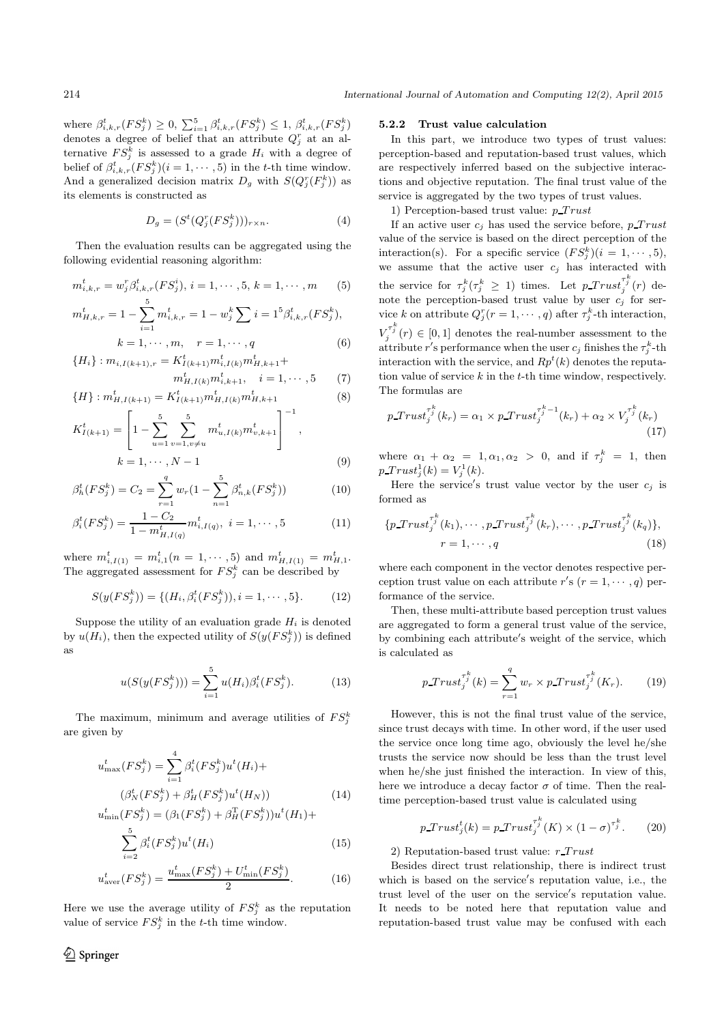where  $\beta_{i,k,r}^t(FS_j^k) \geq 0$ ,  $\sum_{i=1}^5 \beta_{i,k,r}^t(FS_j^k) \leq 1$ ,  $\beta_{i,k,r}^t(FS_j^k)$ <br>denotes a degree of belief that an attribute  $Q_j^r$  at an alternative  $FS^k_j$  is assessed to a grade  $H_i$  with a degree of belief of  $\beta_{i,k,r}^t(FS_j^k)(i=1,\dots,5)$  in the t-th time window. And a generalized decision matrix  $D_g$  with  $S(Q_j^r(F_j^k))$  as its elements is constructed as

$$
D_g = (S^t(Q_j^r(FS_j^k)))_{r \times n}.
$$
\n(4)

Then the evaluation results can be aggregated using the following evidential reasoning algorithm:

$$
m_{i,k,r}^t = w_j^r \beta_{i,k,r}^t(FS_j^i), \, i = 1, \cdots, 5, \, k = 1, \cdots, m \qquad (5)
$$

$$
m_{H,k,r}^{t} = 1 - \sum_{i=1}^{5} m_{i,k,r}^{t} = 1 - w_{j}^{k} \sum_{i=1}^{5} i = 1^{5} \beta_{i,k,r}^{t} (FS_{j}^{k}),
$$

$$
k = 1, \cdots, m, \quad r = 1, \cdots, q
$$
  
 
$$
: m_{i, I(k+1), r} = K_{I(k+1)}^t m_{i, I(k)}^t m_{H, k+1}^t +
$$
 (6)

$$
m_{H,I(k)}^{t}m_{i,k+1}^{t}, i = 1, \cdots, 5 \qquad (7)
$$

$$
\{H\}: m_{H,I(k+1)}^t = K_{I(k+1)}^t m_{H,I(k)}^t m_{H,k+1}^t
$$
\n
$$
\begin{bmatrix} 5 & 5 \end{bmatrix}^{-1}
$$
\n
$$
(8)
$$

$$
K_{I(k+1)}^{t} = \left[1 - \sum_{u=1}^{5} \sum_{v=1, v \neq u}^{5} m_{u, I(k)}^{t} m_{v, k+1}^{t}\right]^{-1},
$$
  
\n
$$
k = 1, \cdots, N-1
$$
 (9)

$$
\beta_h^t(FS_j^k) = C_2 = \sum_{r=1}^q w_r (1 - \sum_{n=1}^5 \beta_{n,k}^t(FS_j^k))
$$
(10)

$$
\beta_i^t(FS_j^k) = \frac{1 - C_2}{1 - m_{H,I(q)}^t} m_{i,I(q)}^t, \ i = 1, \cdots, 5
$$
 (11)

where  $m_{i,I(1)}^t = m_{i,1}^t (n = 1, \dots, 5)$  and  $m_{H,I(1)}^t = m_{H,1}^t$ .<br>The commuted convention  $E_{i}^{K}$  can be determined by The aggregated assessment for  $FS_j^k$  can be described by

$$
S(y(FS_j^k)) = \{ (H_i, \beta_i^t(FS_j^k)), i = 1, \cdots, 5 \}.
$$
 (12)

Suppose the utility of an evaluation grade  $H_i$  is denoted by  $u(H_i)$ , then the expected utility of  $S(y(FS_j^k))$  is defined as

$$
u(S(y(FS_j^k))) = \sum_{i=1}^{5} u(H_i)\beta_i^t(FS_j^k). \tag{13}
$$

The maximum, minimum and average utilities of  $FS_i^k$  $\overline{a}$ are given by

$$
u_{\max}^t(FS_j^k) = \sum_{i=1}^4 \beta_i^t(FS_j^k)u^t(H_i) +
$$
  

$$
(\beta_N^t(FS_j^k) + \beta_H^t(FS_j^k)u^t(H_N))
$$
 (14)

$$
u_{\min}^t(FS_j^k) = (\beta_1(FS_j^k) + \beta_H^T(FS_j^k))u^t(H_1) + \sum_{i=2}^5 \beta_i^t(FS_j^k)u^t(H_i)
$$
\n(15)

$$
u_{\text{aver}}^{t} (FS_{j}^{k}) = \frac{u_{\text{max}}^{t} (FS_{j}^{k}) + U_{\text{min}}^{t} (FS_{j}^{k})}{2}.
$$
 (16)

Here we use the average utility of  $FS_j^k$  as the reputation value of service  $FS_j^k$  in the t-th time window.

# **5.2.2 Trust value calculation**

In this part, we introduce two types of trust values: perception-based and reputation-based trust values, which are respectively inferred based on the subjective interactions and objective reputation. The final trust value of the service is aggregated by the two types of trust values.

1) Perception-based trust value:  $p\_Trust$ 

If an active user  $c_i$  has used the service before,  $p\_Trust$ value of the service is based on the direct perception of the interaction(s). For a specific service  $(FS_j^k)(i = 1, \dots, 5)$ , we assume that the active user  $c_j$  has interacted with the service for  $\tau_j^k(\tau_j^k \geq 1)$  times. Let  $p\_Trust_j^{\tau_j^k}(r)$  denote the perception-based trust value by user  $c_j$  for service k on attribute  $Q_j^r(r=1,\cdots,q)$  after  $\tau_j^k$ -th interaction,  $V_j^{\tau_j^k}(r) \in [0,1]$  denotes the real-number assessment to the attribute r's performance when the user  $c_j$  finishes the  $\tau_j^k$ -th interaction with the service, and  $Rp<sup>t</sup>(k)$  denotes the reputation value of service  $k$  in the  $t$ -th time window, respectively. The formulas are

$$
p\_Trust_j^{\tau_j^k}(k_r) = \alpha_1 \times p\_Trust_j^{\tau_j^k-1}(k_r) + \alpha_2 \times V_j^{\tau_j^k}(k_r)
$$
\n(17)

where  $\alpha_1 + \alpha_2 = 1, \alpha_1, \alpha_2 > 0$ , and if  $\tau_j^k = 1$ , then  $p\_Trust_j^1(k) = V_j^1(k).$ 

Here the service's trust value vector by the user  $c_j$  is formed as

$$
\{p\_Trust_j^{\tau_j^k}(k_1), \cdots, p\_Trust_j^{\tau_j^k}(k_r), \cdots, p\_Trust_j^{\tau_j^k}(k_q)\},\
$$

$$
r = 1, \cdots, q
$$
(18)

where each component in the vector denotes respective perception trust value on each attribute  $r's (r = 1, \dots, q)$  performance of the service.

Then, these multi-attribute based perception trust values are aggregated to form a general trust value of the service, by combining each attribute's weight of the service, which is calculated as

$$
p\_Trust_j^{\tau_j^k}(k) = \sum_{r=1}^{q} w_r \times p\_Trust_j^{\tau_j^k}(K_r). \tag{19}
$$

However, this is not the final trust value of the service, since trust decays with time. In other word, if the user used the service once long time ago, obviously the level he/she trusts the service now should be less than the trust level when he/she just finished the interaction. In view of this, here we introduce a decay factor  $\sigma$  of time. Then the realtime perception-based trust value is calculated using

$$
p\text{-}Trust_j^t(k) = p\text{-}Trust_j^{\tau_j^k}(K) \times (1 - \sigma)^{\tau_j^k}.
$$
 (20)

2) Reputation-based trust value:  $r\_Trust$ 

Besides direct trust relationship, there is indirect trust which is based on the service's reputation value, i.e., the trust level of the user on the service's reputation value. It needs to be noted here that reputation value and reputation-based trust value may be confused with each

 ${H_i}$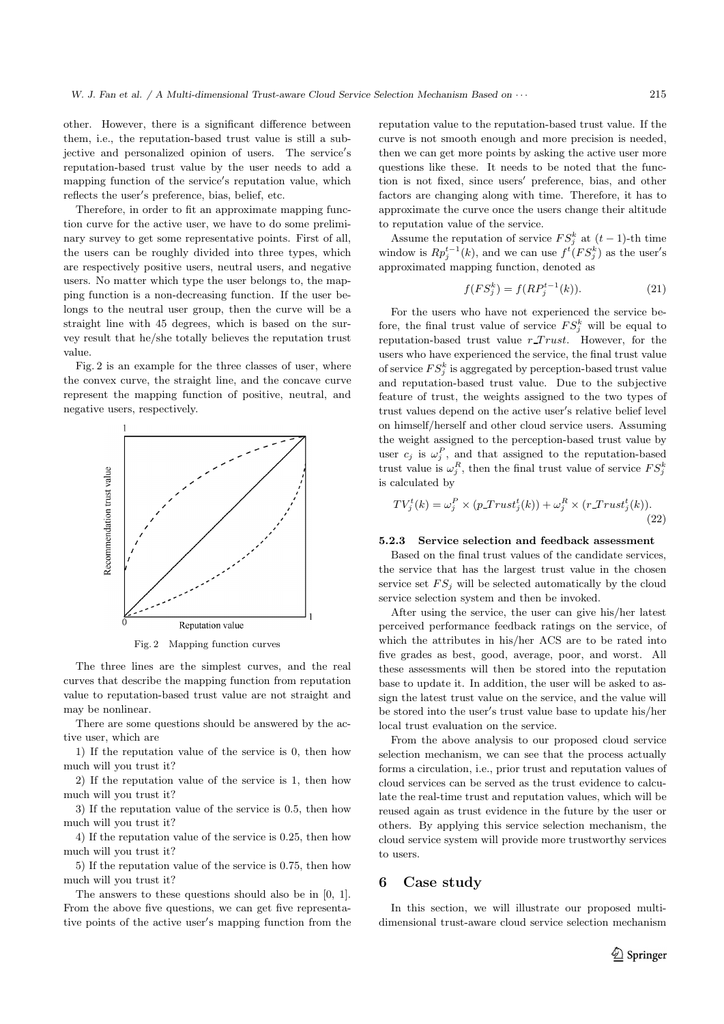other. However, there is a significant difference between them, i.e., the reputation-based trust value is still a subjective and personalized opinion of users. The service's reputation-based trust value by the user needs to add a mapping function of the service's reputation value, which reflects the user's preference, bias, belief, etc.

Therefore, in order to fit an approximate mapping function curve for the active user, we have to do some preliminary survey to get some representative points. First of all, the users can be roughly divided into three types, which are respectively positive users, neutral users, and negative users. No matter which type the user belongs to, the mapping function is a non-decreasing function. If the user belongs to the neutral user group, then the curve will be a straight line with 45 degrees, which is based on the survey result that he/she totally believes the reputation trust value.

Fig. 2 is an example for the three classes of user, where the convex curve, the straight line, and the concave curve represent the mapping function of positive, neutral, and negative users, respectively.



Fig. 2 Mapping function curves

The three lines are the simplest curves, and the real curves that describe the mapping function from reputation value to reputation-based trust value are not straight and may be nonlinear.

There are some questions should be answered by the active user, which are

1) If the reputation value of the service is 0, then how much will you trust it?

2) If the reputation value of the service is 1, then how much will you trust it?

3) If the reputation value of the service is 0.5, then how much will you trust it?

4) If the reputation value of the service is 0.25, then how much will you trust it?

5) If the reputation value of the service is 0.75, then how much will you trust it?

The answers to these questions should also be in [0, 1]. From the above five questions, we can get five representative points of the active user's mapping function from the

reputation value to the reputation-based trust value. If the curve is not smooth enough and more precision is needed, then we can get more points by asking the active user more questions like these. It needs to be noted that the function is not fixed, since users' preference, bias, and other factors are changing along with time. Therefore, it has to approximate the curve once the users change their altitude to reputation value of the service.

Assume the reputation of service  $FS^k_j$  at  $(t-1)$ -th time window is  $Rp_j^{t-1}(k)$ , and we can use  $f^t(FS_j^k)$  as the user's approximated mapping function, denoted as

$$
f(FS_j^k) = f(RP_j^{t-1}(k)).
$$
\n(21)

For the users who have not experienced the service before, the final trust value of service  $FS_j^k$  will be equal to reputation-based trust value  $r\_Trust.$  However, for the users who have experienced the service, the final trust value of service  $FS_j^k$  is aggregated by perception-based trust value and reputation-based trust value. Due to the subjective feature of trust, the weights assigned to the two types of trust values depend on the active user's relative belief level on himself/herself and other cloud service users. Assuming the weight assigned to the perception-based trust value by user  $c_j$  is  $\omega_j^P$ , and that assigned to the reputation-based trust value is  $\omega_j^R$ , then the final trust value of service  $FS_j^k$ is calculated by

$$
TV_j^t(k) = \omega_j^P \times (p\_Trust_j^t(k)) + \omega_j^R \times (r\_Trust_j^t(k)).
$$
\n(22)

#### **5.2.3 Service selection and feedback assessment**

Based on the final trust values of the candidate services, the service that has the largest trust value in the chosen service set  $FS_i$  will be selected automatically by the cloud service selection system and then be invoked.

After using the service, the user can give his/her latest perceived performance feedback ratings on the service, of which the attributes in his/her ACS are to be rated into five grades as best, good, average, poor, and worst. All these assessments will then be stored into the reputation base to update it. In addition, the user will be asked to assign the latest trust value on the service, and the value will be stored into the user's trust value base to update his/her local trust evaluation on the service.

From the above analysis to our proposed cloud service selection mechanism, we can see that the process actually forms a circulation, i.e., prior trust and reputation values of cloud services can be served as the trust evidence to calculate the real-time trust and reputation values, which will be reused again as trust evidence in the future by the user or others. By applying this service selection mechanism, the cloud service system will provide more trustworthy services to users.

## **6 Case study**

In this section, we will illustrate our proposed multidimensional trust-aware cloud service selection mechanism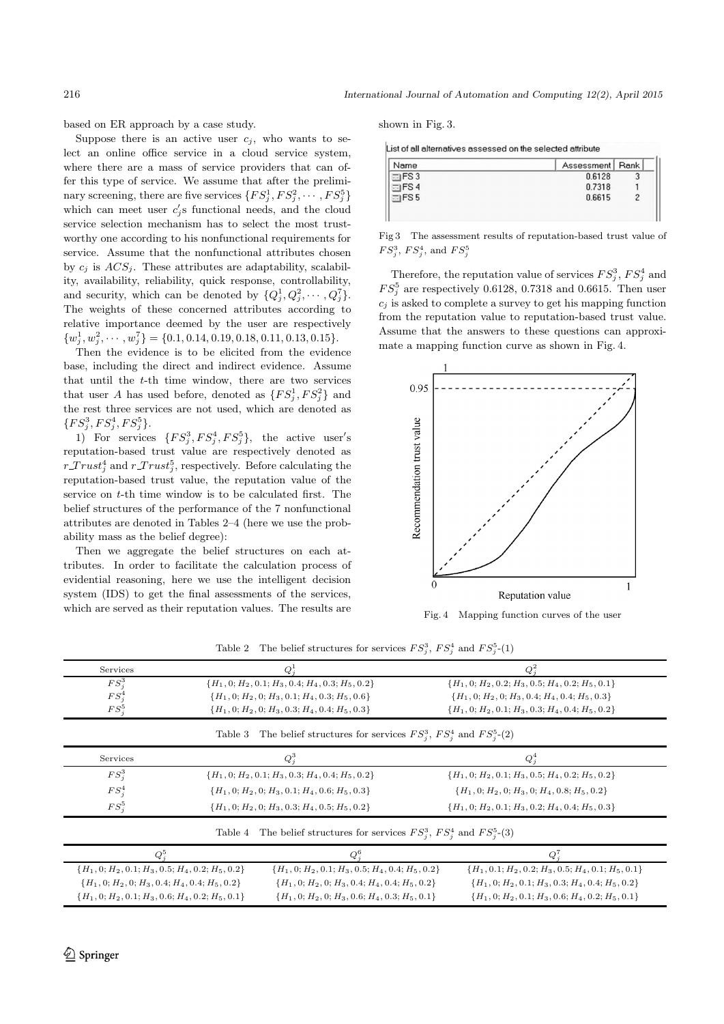based on ER approach by a case study.

Suppose there is an active user  $c_i$ , who wants to select an online office service in a cloud service system, where there are a mass of service providers that can offer this type of service. We assume that after the preliminary screening, there are five services  $\{FS_j^1, FS_j^2, \cdots, FS_j^5\}$ which can meet user  $c_j$ 's functional needs, and the cloud service selection mechanism has to select the most trustworthy one according to his nonfunctional requirements for service. Assume that the nonfunctional attributes chosen by  $c_i$  is  $ACS_i$ . These attributes are adaptability, scalability, availability, reliability, quick response, controllability, and security, which can be denoted by  $\{Q_j^1, Q_j^2, \cdots, Q_j^7\}$ . The weights of these concerned attributes according to relative importance deemed by the user are respectively  $\{w_j^1, w_j^2, \cdots, w_j^7\} = \{0.1, 0.14, 0.19, 0.18, 0.11, 0.13, 0.15\}.$ 

Then the evidence is to be elicited from the evidence base, including the direct and indirect evidence. Assume that until the t-th time window, there are two services that user A has used before, denoted as  $\{FS_j^1, FS_j^2\}$  and the rest three services are not used, which are denoted as  $\{FS_j^3, FS_j^4, FS_j^5\}.$ 

1) For services  $\{FS_j^3, FS_j^4, FS_j^5\}$ , the active user's reputation-based trust value are respectively denoted as  $r\text{ }\mathcal{I}rust_{j}^{4}$  and  $r\text{ }\mathcal{I}rust_{j}^{5}$ , respectively. Before calculating the reputation-based trust value, the reputation value of the service on t-th time window is to be calculated first. The belief structures of the performance of the 7 nonfunctional attributes are denoted in Tables 2–4 (here we use the probability mass as the belief degree):

Then we aggregate the belief structures on each attributes. In order to facilitate the calculation process of evidential reasoning, here we use the intelligent decision system (IDS) to get the final assessments of the services, which are served as their reputation values. The results are

shown in Fig. 3.

|  |  |  |  | List of all alternatives assessed on the selected attribute |
|--|--|--|--|-------------------------------------------------------------|
|--|--|--|--|-------------------------------------------------------------|

| Name            | Assessment   Rank |  |
|-----------------|-------------------|--|
| FS <sub>3</sub> | 0.6128            |  |
| FS <sub>4</sub> | 0.7318            |  |
| $\neg$ FS5      | 0.6615            |  |

Fig 3 The assessment results of reputation-based trust value of  $FS_j^3$ ,  $FS_j^4$ , and  $FS_j^5$ 

Therefore, the reputation value of services  $FS_j^3$ ,  $FS_j^4$  and  $\tilde{S}^5$  $FS_j^5$  are respectively 0.6128, 0.7318 and 0.6615. Then user  $c_j$  is asked to complete a survey to get his mapping function from the reputation value to reputation-based trust value. Assume that the answers to these questions can approximate a mapping function curve as shown in Fig. 4.



Fig. 4 Mapping function curves of the user

| Services                                             |         | $Q_i^1$                                                                  | $Q^2$                                                  |
|------------------------------------------------------|---------|--------------------------------------------------------------------------|--------------------------------------------------------|
| $FS_i^3$                                             |         | $\{H_1, 0; H_2, 0.1; H_3, 0.4; H_4, 0.3; H_5, 0.2\}$                     | ${H_1, 0; H_2, 0.2; H_3, 0.5; H_4, 0.2; H_5, 0.1}$     |
| $FS_i^4$                                             |         | $\{H_1, 0; H_2, 0; H_3, 0.1; H_4, 0.3; H_5, 0.6\}$                       | $\{H_1, 0; H_2, 0; H_3, 0.4; H_4, 0.4; H_5, 0.3\}$     |
| $FS_i^5$                                             |         | $\{H_1, 0; H_2, 0; H_3, 0.3; H_4, 0.4; H_5, 0.3\}$                       | $\{H_1, 0; H_2, 0.1; H_3, 0.3; H_4, 0.4; H_5, 0.2\}$   |
|                                                      | Table 3 | The belief structures for services $FS_i^3$ , $FS_i^4$ and $FS_i^5$ -(2) |                                                        |
| Services                                             |         | $Q_i^3$                                                                  | $Q_i^4$                                                |
| $FS_i^3$                                             |         | $\{H_1, 0; H_2, 0.1; H_3, 0.3; H_4, 0.4; H_5, 0.2\}$                     | $\{H_1, 0; H_2, 0.1; H_3, 0.5; H_4, 0.2; H_5, 0.2\}$   |
| $FS_i^4$                                             |         | $\{H_1, 0; H_2, 0; H_3, 0.1; H_4, 0.6; H_5, 0.3\}$                       | $\{H_1, 0; H_2, 0; H_3, 0; H_4, 0.8; H_5, 0.2\}$       |
| $FS_i^5$                                             |         | $\{H_1, 0; H_2, 0; H_3, 0.3; H_4, 0.5; H_5, 0.2\}$                       | $\{H_1, 0; H_2, 0.1; H_3, 0.2; H_4, 0.4; H_5, 0.3\}$   |
|                                                      | Table 4 | The belief structures for services $FS_i^3$ , $FS_i^4$ and $FS_i^5$ -(3) |                                                        |
| $Q_{\rm s}^5$                                        |         | $Q_2^6$                                                                  | $O^7$                                                  |
| $\{H_1, 0; H_2, 0.1; H_3, 0.5; H_4, 0.2; H_5, 0.2\}$ |         | $\{H_1, 0; H_2, 0.1; H_3, 0.5; H_4, 0.4; H_5, 0.2\}$                     | $\{H_1, 0.1; H_2, 0.2; H_3, 0.5; H_4, 0.1; H_5, 0.1\}$ |
| ${H_1, 0; H_2, 0; H_3, 0.4; H_4, 0.4; H_5, 0.2}$     |         | $\{H_1, 0; H_2, 0; H_3, 0.4; H_4, 0.4; H_5, 0.2\}$                       | $\{H_1, 0; H_2, 0.1; H_3, 0.3; H_4, 0.4; H_5, 0.2\}$   |
| ${H_1, 0; H_2, 0.1; H_3, 0.6; H_4, 0.2; H_5, 0.1}$   |         | $\{H_1, 0; H_2, 0; H_3, 0.6; H_4, 0.3; H_5, 0.1\}$                       | $\{H_1, 0; H_2, 0.1; H_3, 0.6; H_4, 0.2; H_5, 0.1\}$   |

Table 2 The belief structures for services  $FS_j^3$ ,  $FS_j^4$  and  $FS_j^5(1)$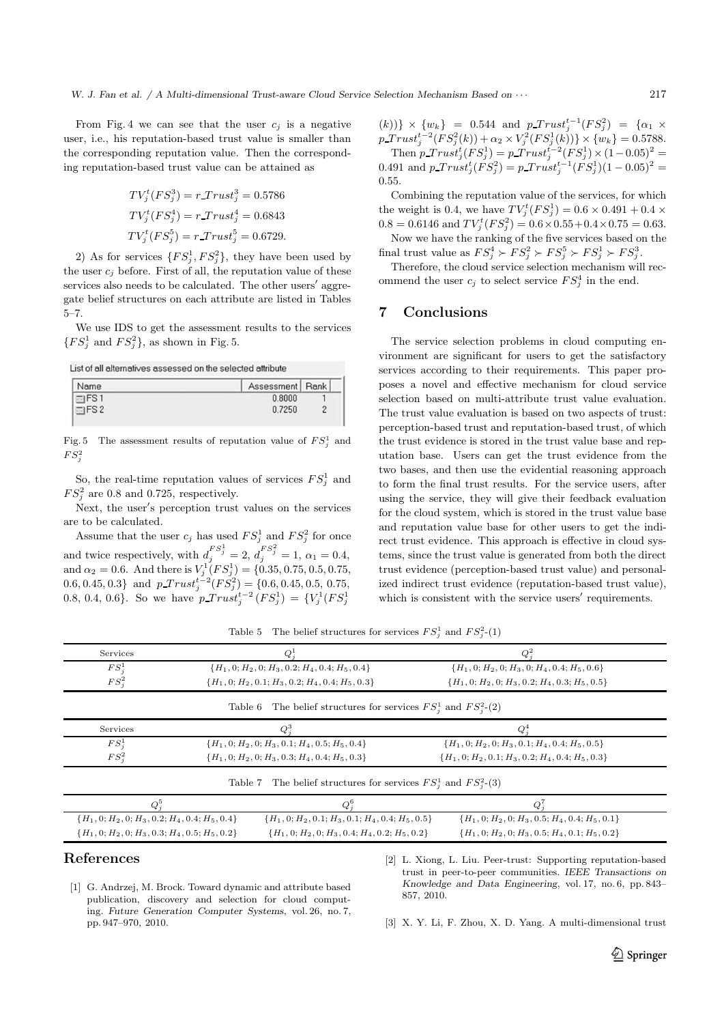From Fig. 4 we can see that the user  $c_j$  is a negative user, i.e., his reputation-based trust value is smaller than the corresponding reputation value. Then the corresponding reputation-based trust value can be attained as

$$
TV_j^t(FS_j^3) = r\_Trust_j^3 = 0.5786
$$
  
\n
$$
TV_j^t(FS_j^4) = r\_Trust_j^4 = 0.6843
$$
  
\n
$$
TV_j^t(FS_j^5) = r\_Trust_j^5 = 0.6729.
$$

2) As for services  $\{FS_j^1, FS_j^2\}$ , they have been used by the user  $c_i$  before. First of all, the reputation value of these services also needs to be calculated. The other users' aggregate belief structures on each attribute are listed in Tables 5–7.

We use IDS to get the assessment results to the services  $\{FS_j^1 \text{ and } FS_j^2\}$ , as shown in Fig. 5.

| List of all alternatives assessed on the selected attribute |  |  |
|-------------------------------------------------------------|--|--|
|-------------------------------------------------------------|--|--|

| Name       | Assessment   Rank |          |
|------------|-------------------|----------|
| $\Xi$ IFS1 | 0.8000            |          |
| $\neg$ FS2 | 0.7250            | $\sigma$ |

Fig. 5 The assessment results of reputation value of  $FS_j^1$  and  $FS_j^2$ 

So, the real-time reputation values of services  $FS_j^1$  and  $FS_j^2$  are 0.8 and 0.725, respectively.

Next, the user's perception trust values on the services are to be calculated.

Assume that the user  $c_j$  has used  $FS_j^1$  and  $FS_j^2$  $j^2$  for once and twice respectively, with  $d_j^{FS_j^1} = 2$ ,  $d_j^{FS_j^2} = 1$ ,  $\alpha_1 = 0.4$ ,<br>and  $\alpha_2 = 0.6$ . And there is  $V_j^1(FS_j^1) = \{0.35, 0.75, 0.5, 0.75,$ <br>0.6, 0.45, 0.3} and  $p\_Trust_j^{t-2}(FS_j^2) = \{0.6, 0.45, 0.5, 0.75,$ <br>0.8, 0.4, 0.6}. So  $(k)$ ) × { $w_k$ } = 0.544 and  $p\text{Trust}_{j}^{t-1}(FS_j^2) = \{\alpha_1 \times \text{Trust}_{j}^{t-2}(ES_j^2)(k)\}\$  $p_T \, \text{first}^{t-2} (FS^2_j(k)) + \alpha_2 \times V^2_j (FS^1_j(k)) \} \times \{w_k\} = 0.5788.$ <br>Then a  $\text{First}^{t}(ES^1) = \text{Second}^{t-2}(ES^1) \times (1 - 0.05)^2$ 

Then  $p\_Trust_j^t(FS_j^1) = p\_Trust_j^{t-2}(FS_j^1) \times (1-0.05)^2 = 0.491$  and  $p\_Trust_j^t(FS_j^2) = p\_Trust_j^{t-1}(FS_j^1)(1-0.05)^2 = 0.55$ 0.55.

Combining the reputation value of the services, for which the weight is 0.4, we have  $TV_j^t(FS_j^1) = 0.6 \times 0.491 + 0.4 \times$  $0.8 = 0.6146$  and  $TV_j^t(FS_j^2) = 0.6 \times 0.55 + 0.4 \times 0.75 = 0.63.$ 

Now we have the ranking of the five services based on the final trust value as  $FS_j^4 \succ FS_j^2 \succ FS_j^5 \succ FS_j^3 \succ FS_j^3$ .

Therefore, the cloud service selection mechanism will recommend the user  $c_j$  to select service  $FS_j^4$  in the end.

# **7 Conclusions**

The service selection problems in cloud computing environment are significant for users to get the satisfactory services according to their requirements. This paper proposes a novel and effective mechanism for cloud service selection based on multi-attribute trust value evaluation. The trust value evaluation is based on two aspects of trust: perception-based trust and reputation-based trust, of which the trust evidence is stored in the trust value base and reputation base. Users can get the trust evidence from the two bases, and then use the evidential reasoning approach to form the final trust results. For the service users, after using the service, they will give their feedback evaluation for the cloud system, which is stored in the trust value base and reputation value base for other users to get the indirect trust evidence. This approach is effective in cloud systems, since the trust value is generated from both the direct trust evidence (perception-based trust value) and personalized indirect trust evidence (reputation-based trust value), which is consistent with the service users' requirements.

| $Q^1$<br>Services                                                |                                                    |                                                                       | $O^2$                                                |  |
|------------------------------------------------------------------|----------------------------------------------------|-----------------------------------------------------------------------|------------------------------------------------------|--|
| $FS_i^1$                                                         | $\{H_1, 0; H_2, 0; H_3, 0.2; H_4, 0.4; H_5, 0.4\}$ |                                                                       | $\{H_1, 0; H_2, 0; H_3, 0; H_4, 0.4; H_5, 0.6\}$     |  |
| $FS_i^2$<br>$\{H_1, 0; H_2, 0.1; H_3, 0.2; H_4, 0.4; H_5, 0.3\}$ |                                                    |                                                                       | ${H_1, 0; H_2, 0; H_3, 0.2; H_4, 0.3; H_5, 0.5}$     |  |
|                                                                  | Table 6                                            | The belief structures for services $FS^1$ and $FS^2$ -(2)             |                                                      |  |
| Services                                                         |                                                    | $O^3$                                                                 | O <sup>4</sup>                                       |  |
| $FS_{i}^{1}$                                                     |                                                    | $\{H_1, 0; H_2, 0; H_3, 0.1; H_4, 0.5; H_5, 0.4\}$                    | $\{H_1, 0; H_2, 0; H_3, 0.1; H_4, 0.4; H_5, 0.5\}$   |  |
| $FS_i^2$                                                         |                                                    | $\{H_1, 0; H_2, 0; H_3, 0.3; H_4, 0.4; H_5, 0.3\}$                    | $\{H_1, 0; H_2, 0.1; H_3, 0.2; H_4, 0.4; H_5, 0.3\}$ |  |
|                                                                  |                                                    | Table 7 The belief structures for services $FS_i^1$ and $FS_i^2$ -(3) |                                                      |  |
| $O^5$                                                            |                                                    | O6                                                                    | $O^{\prime}$                                         |  |
| $\{H_1, 0; H_2, 0; H_3, 0.2; H_4, 0.4; H_5, 0.4\}$               |                                                    | $\{H_1, 0; H_2, 0.1; H_3, 0.1; H_4, 0.4; H_5, 0.5\}$                  | $\{H_1, 0; H_2, 0; H_3, 0.5; H_4, 0.4; H_5, 0.1\}$   |  |
| $\{H_1, 0; H_2, 0; H_3, 0.3; H_4, 0.5; H_5, 0.2\}$               |                                                    | ${H_1, 0; H_2, 0; H_3, 0.4; H_4, 0.2; H_5, 0.2}$                      | $\{H_1, 0; H_2, 0; H_3, 0.5; H_4, 0.1; H_5, 0.2\}$   |  |

Table 5 The belief structures for services  $FS_j^1$  and  $FS_j^2$ -(1)

## **References**

- [1] G. Andrzej, M. Brock. Toward dynamic and attribute based publication, discovery and selection for cloud computing. *Future Generation Computer Systems*, vol. 26, no. 7, pp. 947–970, 2010.
- [2] L. Xiong, L. Liu. Peer-trust: Supporting reputation-based trust in peer-to-peer communities. *IEEE Transactions on Knowledge and Data Engineering*, vol. 17, no. 6, pp. 843– 857, 2010.
- [3] X. Y. Li, F. Zhou, X. D. Yang. A multi-dimensional trust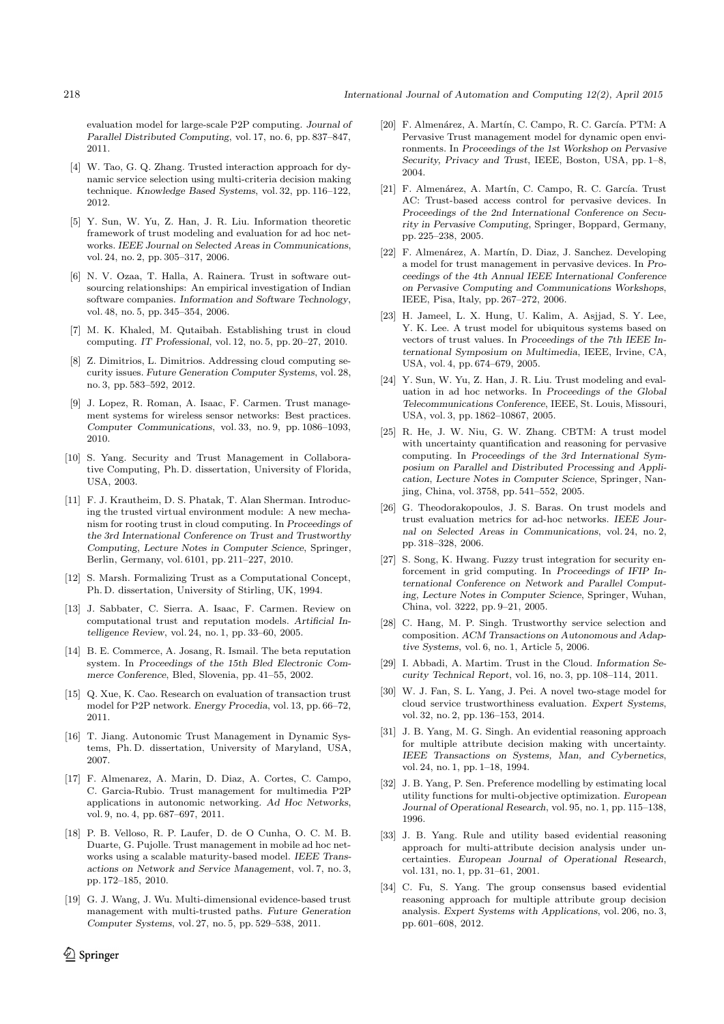evaluation model for large-scale P2P computing. *Journal of Parallel Distributed Computing*, vol. 17, no. 6, pp. 837–847, 2011.

- [4] W. Tao, G. Q. Zhang. Trusted interaction approach for dynamic service selection using multi-criteria decision making technique. *Knowledge Based Systems*, vol. 32, pp. 116–122, 2012.
- [5] Y. Sun, W. Yu, Z. Han, J. R. Liu. Information theoretic framework of trust modeling and evaluation for ad hoc networks. *IEEE Journal on Selected Areas in Communications*, vol. 24, no. 2, pp. 305–317, 2006.
- [6] N. V. Ozaa, T. Halla, A. Rainera. Trust in software outsourcing relationships: An empirical investigation of Indian software companies. *Information and Software Technology*, vol. 48, no. 5, pp. 345–354, 2006.
- [7] M. K. Khaled, M. Qutaibah. Establishing trust in cloud computing. *IT Professional*, vol. 12, no. 5, pp. 20–27, 2010.
- [8] Z. Dimitrios, L. Dimitrios. Addressing cloud computing security issues. *Future Generation Computer Systems*, vol. 28, no. 3, pp. 583–592, 2012.
- [9] J. Lopez, R. Roman, A. Isaac, F. Carmen. Trust management systems for wireless sensor networks: Best practices. *Computer Communications*, vol. 33, no. 9, pp. 1086–1093, 2010.
- [10] S. Yang. Security and Trust Management in Collaborative Computing, Ph. D. dissertation, University of Florida, USA, 2003.
- [11] F. J. Krautheim, D. S. Phatak, T. Alan Sherman. Introducing the trusted virtual environment module: A new mechanism for rooting trust in cloud computing. In *Proceedings of the 3rd International Conference on Trust and Trustworthy Computing*, *Lecture Notes in Computer Science*, Springer, Berlin, Germany, vol. 6101, pp. 211–227, 2010.
- [12] S. Marsh. Formalizing Trust as a Computational Concept, Ph. D. dissertation, University of Stirling, UK, 1994.
- [13] J. Sabbater, C. Sierra. A. Isaac, F. Carmen. Review on computational trust and reputation models. *Artificial Intelligence Review*, vol. 24, no. 1, pp. 33–60, 2005.
- [14] B. E. Commerce, A. Josang, R. Ismail. The beta reputation system. In *Proceedings of the 15th Bled Electronic Commerce Conference*, Bled, Slovenia, pp. 41–55, 2002.
- [15] Q. Xue, K. Cao. Research on evaluation of transaction trust model for P2P network. *Energy Procedia*, vol. 13, pp. 66–72, 2011.
- [16] T. Jiang. Autonomic Trust Management in Dynamic Systems, Ph. D. dissertation, University of Maryland, USA, 2007.
- [17] F. Almenarez, A. Marin, D. Diaz, A. Cortes, C. Campo, C. Garcia-Rubio. Trust management for multimedia P2P applications in autonomic networking. *Ad Hoc Networks*, vol. 9, no. 4, pp. 687–697, 2011.
- [18] P. B. Velloso, R. P. Laufer, D. de O Cunha, O. C. M. B. Duarte, G. Pujolle. Trust management in mobile ad hoc networks using a scalable maturity-based model. *IEEE Transactions on Network and Service Management*, vol. 7, no. 3, pp. 172–185, 2010.
- [19] G. J. Wang, J. Wu. Multi-dimensional evidence-based trust management with multi-trusted paths. *Future Generation Computer Systems*, vol. 27, no. 5, pp. 529–538, 2011.
- [20] F. Almenárez, A. Martín, C. Campo, R. C. García. PTM: A Pervasive Trust management model for dynamic open environments. In *Proceedings of the 1st Workshop on Pervasive Security, Privacy and Trust*, IEEE, Boston, USA, pp. 1–8, 2004.
- [21] F. Almenárez, A. Martín, C. Campo, R. C. García. Trust AC: Trust-based access control for pervasive devices. In *Proceedings of the 2nd International Conference on Security in Pervasive Computing*, Springer, Boppard, Germany, pp. 225–238, 2005.
- [22] F. Almenárez, A. Martín, D. Diaz, J. Sanchez. Developing a model for trust management in pervasive devices. In *Proceedings of the 4th Annual IEEE International Conference on Pervasive Computing and Communications Workshops*, IEEE, Pisa, Italy, pp. 267–272, 2006.
- [23] H. Jameel, L. X. Hung, U. Kalim, A. Asjjad, S. Y. Lee, Y. K. Lee. A trust model for ubiquitous systems based on vectors of trust values. In *Proceedings of the 7th IEEE International Symposium on Multimedia*, IEEE, Irvine, CA, USA, vol. 4, pp. 674–679, 2005.
- [24] Y. Sun, W. Yu, Z. Han, J. R. Liu. Trust modeling and evaluation in ad hoc networks. In *Proceedings of the Global Telecommunications Conference*, IEEE, St. Louis, Missouri, USA, vol. 3, pp. 1862–10867, 2005.
- [25] R. He, J. W. Niu, G. W. Zhang. CBTM: A trust model with uncertainty quantification and reasoning for pervasive computing. In *Proceedings of the 3rd International Symposium on Parallel and Distributed Processing and Application*, *Lecture Notes in Computer Science*, Springer, Nanjing, China, vol. 3758, pp. 541–552, 2005.
- [26] G. Theodorakopoulos, J. S. Baras. On trust models and trust evaluation metrics for ad-hoc networks. *IEEE Journal on Selected Areas in Communications*, vol. 24, no. 2, pp. 318–328, 2006.
- [27] S. Song, K. Hwang. Fuzzy trust integration for security enforcement in grid computing. In *Proceedings of IFIP International Conference on Network and Parallel Computing, Lecture Notes in Computer Science*, Springer, Wuhan, China, vol. 3222, pp. 9–21, 2005.
- [28] C. Hang, M. P. Singh. Trustworthy service selection and composition. *ACM Transactions on Autonomous and Adaptive Systems*, vol. 6, no. 1, Article 5, 2006.
- [29] I. Abbadi, A. Martim. Trust in the Cloud. *Information Security Technical Report*, vol. 16, no. 3, pp. 108–114, 2011.
- [30] W. J. Fan, S. L. Yang, J. Pei. A novel two-stage model for cloud service trustworthiness evaluation. *Expert Systems*, vol. 32, no. 2, pp. 136–153, 2014.
- [31] J. B. Yang, M. G. Singh. An evidential reasoning approach for multiple attribute decision making with uncertainty. *IEEE Transactions on Systems, Man, and Cybernetics*, vol. 24, no. 1, pp. 1–18, 1994.
- [32] J. B. Yang, P. Sen. Preference modelling by estimating local utility functions for multi-objective optimization. *European Journal of Operational Research*, vol. 95, no. 1, pp. 115–138, 1996.
- [33] J. B. Yang. Rule and utility based evidential reasoning approach for multi-attribute decision analysis under uncertainties. *European Journal of Operational Research*, vol. 131, no. 1, pp. 31–61, 2001.
- [34] C. Fu, S. Yang. The group consensus based evidential reasoning approach for multiple attribute group decision analysis. *Expert Systems with Applications*, vol. 206, no. 3, pp. 601–608, 2012.